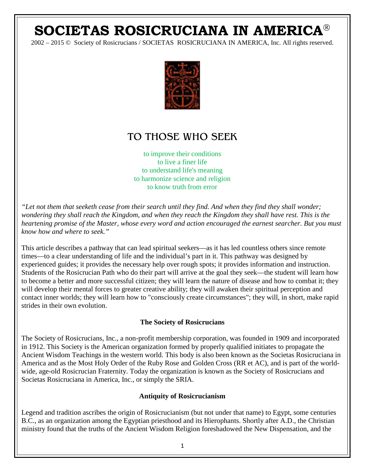# **SOCIETAS ROSICRUCIANA IN AMERICA**

2002 – 2015 © Society of Rosicrucians / SOCIETAS ROSICRUCIANA IN AMERICA, Inc. All rights reserved.



# TO THOSE WHO SEEK

to improve their conditions to live a finer life to understand life's meaning to harmonize science and religion to know truth from error

*"Let not them that seeketh cease from their search until they find. And when they find they shall wonder; wondering they shall reach the Kingdom, and when they reach the Kingdom they shall have rest. This is the heartening promise of the Master, whose every word and action encouraged the earnest searcher. But you must know how and where to seek."*

This article describes a pathway that can lead spiritual seekers—as it has led countless others since remote times—to a clear understanding of life and the individual's part in it. This pathway was designed by experienced guides; it provides the necessary help over rough spots; it provides information and instruction. Students of the Rosicrucian Path who do their part will arrive at the goal they seek—the student will learn how to become a better and more successful citizen; they will learn the nature of disease and how to combat it; they will develop their mental forces to greater creative ability; they will awaken their spiritual perception and contact inner worlds; they will learn how to "consciously create circumstances"; they will, in short, make rapid strides in their own evolution.

#### **The Society of Rosicrucians**

The Society of Rosicrucians, Inc., a non-profit membership corporation, was founded in 1909 and incorporated in 1912. This Society is the American organization formed by properly qualified initiates to propagate the Ancient Wisdom Teachings in the western world. This body is also been known as the Societas Rosicruciana in America and as the Most Holy Order of the Ruby Rose and Golden Cross (RR et AC), and is part of the worldwide, age-old Rosicrucian Fraternity. Today the organization is known as the Society of Rosicrucians and Societas Rosicruciana in America, Inc., or simply the SRIA.

#### **Antiquity of Rosicrucianism**

Legend and tradition ascribes the origin of Rosicrucianism (but not under that name) to Egypt, some centuries B.C., as an organization among the Egyptian priesthood and its Hierophants. Shortly after A.D., the Christian ministry found that the truths of the Ancient Wisdom Religion foreshadowed the New Dispensation, and the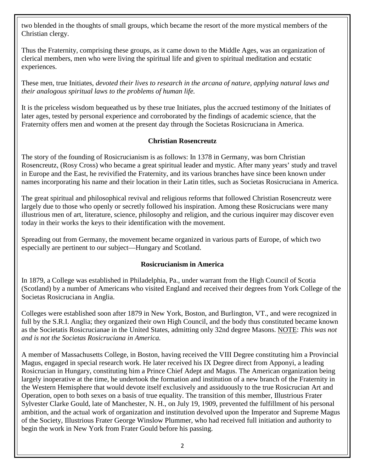two blended in the thoughts of small groups, which became the resort of the more mystical members of the Christian clergy.

Thus the Fraternity, comprising these groups, as it came down to the Middle Ages, was an organization of clerical members, men who were living the spiritual life and given to spiritual meditation and ecstatic experiences.

These men, true Initiates, *devoted their lives to research in the arcana of nature, applying natural laws and their analogous spiritual laws to the problems of human life.*

It is the priceless wisdom bequeathed us by these true Initiates, plus the accrued testimony of the Initiates of later ages, tested by personal experience and corroborated by the findings of academic science, that the Fraternity offers men and women at the present day through the Societas Rosicruciana in America.

### **Christian Rosencreutz**

The story of the founding of Rosicrucianism is as follows: In 1378 in Germany, was born Christian Rosencreutz, (Rosy Cross) who became a great spiritual leader and mystic. After many years' study and travel in Europe and the East, he revivified the Fraternity, and its various branches have since been known under names incorporating his name and their location in their Latin titles, such as Societas Rosicruciana in America.

The great spiritual and philosophical revival and religious reforms that followed Christian Rosencreutz were largely due to those who openly or secretly followed his inspiration. Among these Rosicrucians were many illustrious men of art, literature, science, philosophy and religion, and the curious inquirer may discover even today in their works the keys to their identification with the movement.

Spreading out from Germany, the movement became organized in various parts of Europe, of which two especially are pertinent to our subject—Hungary and Scotland.

#### **Rosicrucianism in America**

In 1879, a College was established in Philadelphia, Pa., under warrant from the High Council of Scotia (Scotland) by a number of Americans who visited England and received their degrees from York College of the Societas Rosicruciana in Anglia.

Colleges were established soon after 1879 in New York, Boston, and Burlington, VT., and were recognized in full by the S.R.I. Anglia; they organized their own High Council, and the body thus constituted became known as the Societatis Rosicrucianae in the United States, admitting only 32nd degree Masons. NOTE: *This was not and is not the Societas Rosicruciana in America.*

A member of Massachusetts College, in Boston, having received the VIII Degree constituting him a Provincial Magus, engaged in special research work. He later received his IX Degree direct from Apponyi, a leading Rosicrucian in Hungary, constituting him a Prince Chief Adept and Magus. The American organization being largely inoperative at the time, he undertook the formation and institution of a new branch of the Fraternity in the Western Hemisphere that would devote itself exclusively and assiduously to the true Rosicrucian Art and Operation, open to both sexes on a basis of true equality. The transition of this member, Illustrious Frater Sylvester Clarke Gould, late of Manchester, N. H., on July 19, 1909, prevented the fulfillment of his personal ambition, and the actual work of organization and institution devolved upon the Imperator and Supreme Magus of the Society, Illustrious Frater George Winslow Plummer, who had received full initiation and authority to begin the work in New York from Frater Gould before his passing.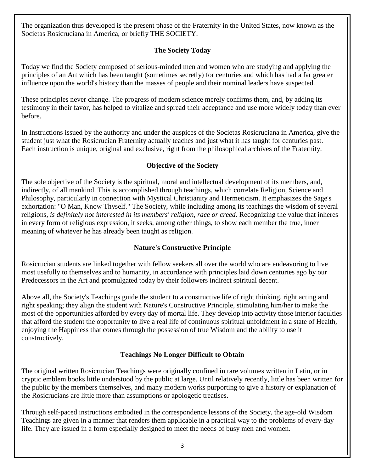The organization thus developed is the present phase of the Fraternity in the United States, now known as the Societas Rosicruciana in America, or briefly THE SOCIETY.

# **The Society Today**

Today we find the Society composed of serious-minded men and women who are studying and applying the principles of an Art which has been taught (sometimes secretly) for centuries and which has had a far greater influence upon the world's history than the masses of people and their nominal leaders have suspected.

These principles never change. The progress of modern science merely confirms them, and, by adding its testimony in their favor, has helped to vitalize and spread their acceptance and use more widely today than ever before.

In Instructions issued by the authority and under the auspices of the Societas Rosicruciana in America, give the student just what the Rosicrucian Fraternity actually teaches and just what it has taught for centuries past. Each instruction is unique, original and exclusive, right from the philosophical archives of the Fraternity.

# **Objective of the Society**

The sole objective of the Society is the spiritual, moral and intellectual development of its members, and, indirectly, of all mankind. This is accomplished through teachings, which correlate Religion, Science and Philosophy, particularly in connection with Mystical Christianity and Hermeticism. It emphasizes the Sage's exhortation: "O Man, Know Thyself." The Society, while including among its teachings the wisdom of several religions, *is definitely not interested in its members' religion, race or creed.* Recognizing the value that inheres in every form of religious expression, it seeks, among other things, to show each member the true, inner meaning of whatever he has already been taught as religion.

# **Nature's Constructive Principle**

Rosicrucian students are linked together with fellow seekers all over the world who are endeavoring to live most usefully to themselves and to humanity, in accordance with principles laid down centuries ago by our Predecessors in the Art and promulgated today by their followers indirect spiritual decent.

Above all, the Society's Teachings guide the student to a constructive life of right thinking, right acting and right speaking; they align the student with Nature's Constructive Principle, stimulating him/her to make the most of the opportunities afforded by every day of mortal life. They develop into activity those interior faculties that afford the student the opportunity to live a real life of continuous spiritual unfoldment in a state of Health, enjoying the Happiness that comes through the possession of true Wisdom and the ability to use it constructively.

# **Teachings No Longer Difficult to Obtain**

The original written Rosicrucian Teachings were originally confined in rare volumes written in Latin, or in cryptic emblem books little understood by the public at large. Until relatively recently, little has been written for the public by the members themselves, and many modern works purporting to give a history or explanation of the Rosicrucians are little more than assumptions or apologetic treatises.

Through self-paced instructions embodied in the correspondence lessons of the Society, the age-old Wisdom Teachings are given in a manner that renders them applicable in a practical way to the problems of every-day life. They are issued in a form especially designed to meet the needs of busy men and women.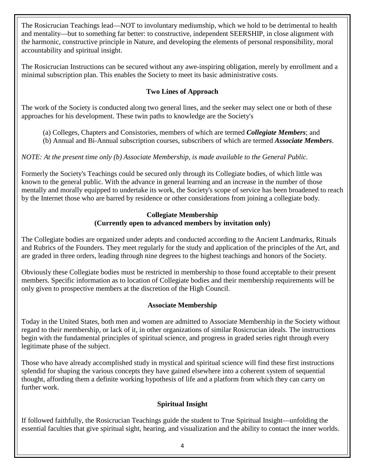The Rosicrucian Teachings lead—NOT to involuntary mediumship, which we hold to be detrimental to health and mentality—but to something far better: to constructive, independent SEERSHIP, in close alignment with the harmonic, constructive principle in Nature, and developing the elements of personal responsibility, moral accountability and spiritual insight.

The Rosicrucian Instructions can be secured without any awe-inspiring obligation, merely by enrollment and a minimal subscription plan. This enables the Society to meet its basic administrative costs.

# **Two Lines of Approach**

The work of the Society is conducted along two general lines, and the seeker may select one or both of these approaches for his development. These twin paths to knowledge are the Society's

- (a) Colleges, Chapters and Consistories, members of which are termed *Collegiate Members*; and
- (b) Annual and Bi-Annual subscription courses, subscribers of which are termed *Associate Members*.

# *NOTE: At the present time only (b) Associate Membership, is made available to the General Public.*

Formerly the Society's Teachings could be secured only through its Collegiate bodies, of which little was known to the general public. With the advance in general learning and an increase in the number of those mentally and morally equipped to undertake its work, the Society's scope of service has been broadened to reach by the Internet those who are barred by residence or other considerations from joining a collegiate body.

### **Collegiate Membership (Currently open to advanced members by invitation only)**

The Collegiate bodies are organized under adepts and conducted according to the Ancient Landmarks, Rituals and Rubrics of the Founders. They meet regularly for the study and application of the principles of the Art, and are graded in three orders, leading through nine degrees to the highest teachings and honors of the Society.

Obviously these Collegiate bodies must be restricted in membership to those found acceptable to their present members. Specific information as to location of Collegiate bodies and their membership requirements will be only given to prospective members at the discretion of the High Council.

# **Associate Membership**

Today in the United States, both men and women are admitted to Associate Membership in the Society without regard to their membership, or lack of it, in other organizations of similar Rosicrucian ideals. The instructions begin with the fundamental principles of spiritual science, and progress in graded series right through every legitimate phase of the subject.

Those who have already accomplished study in mystical and spiritual science will find these first instructions splendid for shaping the various concepts they have gained elsewhere into a coherent system of sequential thought, affording them a definite working hypothesis of life and a platform from which they can carry on further work.

# **Spiritual Insight**

If followed faithfully, the Rosicrucian Teachings guide the student to True Spiritual Insight—unfolding the essential faculties that give spiritual sight, hearing, and visualization and the ability to contact the inner worlds.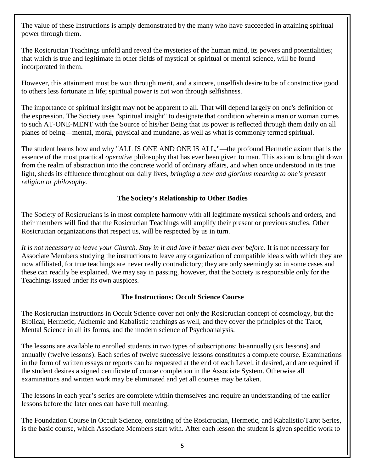The value of these Instructions is amply demonstrated by the many who have succeeded in attaining spiritual power through them.

The Rosicrucian Teachings unfold and reveal the mysteries of the human mind, its powers and potentialities; that which is true and legitimate in other fields of mystical or spiritual or mental science, will be found incorporated in them.

However, this attainment must be won through merit, and a sincere, unselfish desire to be of constructive good to others less fortunate in life; spiritual power is not won through selfishness.

The importance of spiritual insight may not be apparent to all. That will depend largely on one's definition of the expression. The Society uses "spiritual insight" to designate that condition wherein a man or woman comes to such AT-ONE-MENT with the Source of his/her Being that Its power is reflected through them daily on all planes of being—mental, moral, physical and mundane, as well as what is commonly termed spiritual.

The student learns how and why "ALL IS ONE AND ONE IS ALL,"—the profound Hermetic axiom that is the essence of the most practical *operative* philosophy that has ever been given to man. This axiom is brought down from the realm of abstraction into the concrete world of ordinary affairs, and when once understood in its true light, sheds its effluence throughout our daily lives, *bringing a new and glorious meaning to one's present religion or philosophy.*

# **The Society's Relationship to Other Bodies**

The Society of Rosicrucians is in most complete harmony with all legitimate mystical schools and orders, and their members will find that the Rosicrucian Teachings will amplify their present or previous studies. Other Rosicrucian organizations that respect us, will be respected by us in turn.

*It is not necessary to leave your Church. Stay in it and love it better than ever before.* It is not necessary for Associate Members studying the instructions to leave any organization of compatible ideals with which they are now affiliated, for true teachings are never really contradictory; they are only seemingly so in some cases and these can readily be explained. We may say in passing, however, that the Society is responsible only for the Teachings issued under its own auspices.

#### **The Instructions: Occult Science Course**

The Rosicrucian instructions in Occult Science cover not only the Rosicrucian concept of cosmology, but the Biblical, Hermetic, Alchemic and Kabalistic teachings as well, and they cover the principles of the Tarot, Mental Science in all its forms, and the modern science of Psychoanalysis.

The lessons are available to enrolled students in two types of subscriptions: bi-annually (six lessons) and annually (twelve lessons). Each series of twelve successive lessons constitutes a complete course. Examinations in the form of written essays or reports can be requested at the end of each Level, if desired, and are required if the student desires a signed certificate of course completion in the Associate System. Otherwise all examinations and written work may be eliminated and yet all courses may be taken.

The lessons in each year's series are complete within themselves and require an understanding of the earlier lessons before the later ones can have full meaning.

The Foundation Course in Occult Science, consisting of the Rosicrucian, Hermetic, and Kabalistic/Tarot Series, is the basic course, which Associate Members start with. After each lesson the student is given specific work to